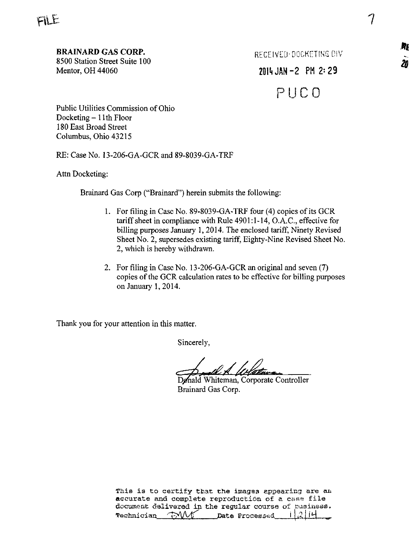8500 Station Street Suite 100<br>
Mentor, OH 44060  $\overline{20}$ <br>
Mentor, OH 44060  $\overline{20}$ 

 $2014$  JAN  $-2$  PM 2: 29

P U C 0

Public Utilities Commission of Ohio Docketing - 11th Floor 180 East Broad Street Columbus, Ohio 43215

RE: Case No. 13-206-GA-GCR and 89-8039-GA-TRF

Attn Docketing:

Brainard Gas Corp ("Brainard") herein submits the following:

- 1. For filing in Case No. 89-8039-GA-TRF four (4) copies of its GCR tariff sheet in compliance with Rule 4901:1-14, O.A.C., effective for billing purposes January 1, 2014. The enclosed tariff. Ninety Revised Sheet No. 2, supersedes existing tariff, Eighty-Nine Revised Sheet No. 2, which is hereby withdrawn.
- 2. For filing in Case No. 13-206-GA-GCR an original and seven (7) copies of the GCR calculation rates to be effective for billing purposes on January 1,2014.

Thank you for your attention in this matter.

Sincerely,

Dønald Whiteman, Corporate Controller Brainard Gas Corp.

靐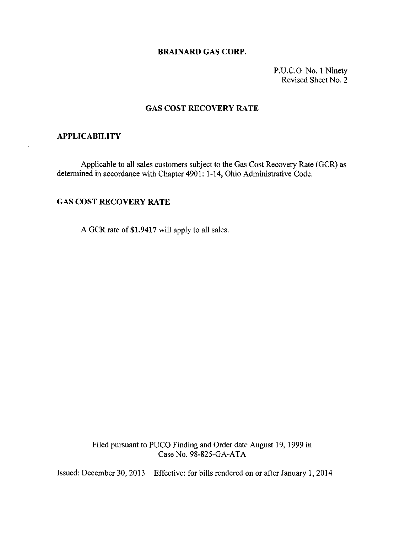### BRAINARD GAS CORP.

P.U.C.O No. 1 Ninety Revised Sheet No. 2

### GAS COST RECOVERY RATE

### APPLICABILITY

Applicable to all sales customers subject to the Gas Cost Recovery Rate (GCR) as determined in accordance with Chapter 4901: 1-14, Ohio Administrative Code.

## GAS COST RECOVERY RATE

A GCR rate of \$1.9417 will apply to all sales.

Filed pursuant to PUCO Finding and Order date August 19, 1999 in Case No. 98-825-GA-ATA

Issued: December 30, 2013 Effective: for bills rendered on or after January 1, 2014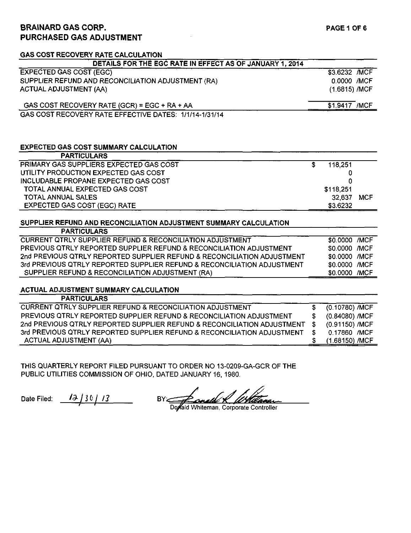# BRAINARD GAS CORP. PURCHASED GAS ADJUSTMENT

| <b>GAS COST RECOVERY RATE CALCULATION</b>                               |   |               |            |
|-------------------------------------------------------------------------|---|---------------|------------|
| DETAILS FOR THE EGC RATE IN EFFECT AS OF JANUARY 1, 2014                |   |               |            |
| <b>EXPECTED GAS COST (EGC)</b>                                          |   | \$3.6232 /MCF |            |
| SUPPLIER REFUND AND RECONCILIATION ADJUSTMENT (RA)                      |   | 0.0000 /MCF   |            |
| <b>ACTUAL ADJUSTMENT (AA)</b>                                           |   | (1.6815) /MCF |            |
| GAS COST RECOVERY RATE (GCR) = EGC + RA + AA                            |   | \$1,9417 /MCF |            |
| GAS COST RECOVERY RATE EFFECTIVE DATES: 1/1/14-1/31/14                  |   |               |            |
|                                                                         |   |               |            |
|                                                                         |   |               |            |
| <b>EXPECTED GAS COST SUMMARY CALCULATION</b>                            |   |               |            |
| <b>PARTICULARS</b>                                                      |   |               |            |
| PRIMARY GAS SUPPLIERS EXPECTED GAS COST                                 | S | 118,251       |            |
| UTILITY PRODUCTION EXPECTED GAS COST                                    |   | 0             |            |
| INCLUDABLE PROPANE EXPECTED GAS COST                                    |   | n             |            |
| TOTAL ANNUAL EXPECTED GAS COST                                          |   | \$118,251     |            |
| <b>TOTAL ANNUAL SALES</b>                                               |   | 32,637        | <b>MCF</b> |
| <b>EXPECTED GAS COST (EGC) RATE</b>                                     |   | \$3.6232      |            |
|                                                                         |   |               |            |
| SUPPLIER REFUND AND RECONCILIATION ADJUSTMENT SUMMARY CALCULATION       |   |               |            |
| <b>PARTICULARS</b>                                                      |   |               |            |
| <b>CURRENT QTRLY SUPPLIER REFUND &amp; RECONCILIATION ADJUSTMENT</b>    |   | \$0.0000 /MCF |            |
| PREVIOUS QTRLY REPORTED SUPPLIER REFUND & RECONCILIATION ADJUSTMENT     |   | \$0.0000 /MCF |            |
| 2nd PREVIOUS QTRLY REPORTED SUPPLIER REFUND & RECONCILIATION ADJUSTMENT |   | \$0.0000 /MCF |            |
| 3rd PREVIOUS QTRLY REPORTED SUPPLIER REFUND & RECONCILIATION ADJUSTMENT |   | \$0.0000 /MCF |            |
| SUPPLIER REFUND & RECONCILIATION ADJUSTMENT (RA)                        |   | \$0.0000 /MCF |            |
|                                                                         |   |               |            |

### ACTUAL ADJUSTMENT SUMMARY CALCULATION

| <b>PARTICULARS</b>                                                      |                  |
|-------------------------------------------------------------------------|------------------|
| <b>CURRENT QTRLY SUPPLIER REFUND &amp; RECONCILIATION ADJUSTMENT</b>    | (0.10780) /MCF   |
| PREVIOUS QTRLY REPORTED SUPPLIER REFUND & RECONCILIATION ADJUSTMENT     | (0.84080) /MCF   |
| 2nd PREVIOUS QTRLY REPORTED SUPPLIER REFUND & RECONCILIATION ADJUSTMENT | (0.91150) /MCF   |
| 3rd PREVIOUS QTRLY REPORTED SUPPLIER REFUND & RECONCILIATION ADJUSTMENT | 0.17860 /MCF     |
| <b>ACTUAL ADJUSTMENT (AA)</b>                                           | $(1.68150)$ /MCF |

THIS QUARTERLY REPORT FILED PURSUANT TO ORDER NO 13-0209-GA-GCR OF THE PUBLIC UTILITIES COMMISSION OF OHIO, DATED JANUARY 16, 1980.

Date Filed:  $\frac{12}{130}$  13

BY:

Dowald Whiteman, Corporate Controller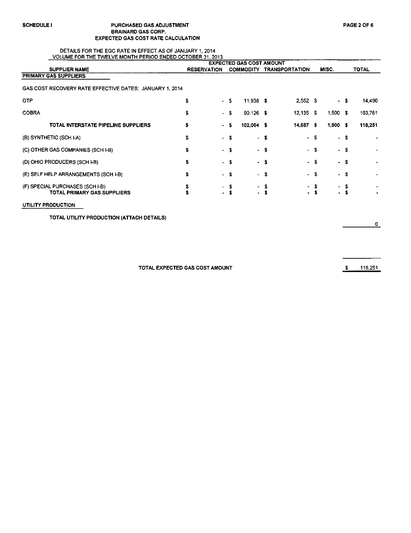### SCHEDULE I PURCHASED GAS ADJUSTMENT PAGE 2 OF 6 BRAINARD GAS CORP. EXPECTED GAS COST RATE CALCULATION

#### DETAILS FOR THE EGC RATE IN EFFECT AS OF JANUARY 1, 2014 VOLUME FOR THE TWELVE MONTH PERIOD ENDED OCTOBER 31, 2013

|                                                                | <b>TOLORIC FOR THE TIMELYE MONTH FERROG ENGLY OVTOGER OF ZOTO</b><br><b>EXPECTED GAS COST AMOUNT</b> |                    |                          |         |                       |      |             |      |              |
|----------------------------------------------------------------|------------------------------------------------------------------------------------------------------|--------------------|--------------------------|---------|-----------------------|------|-------------|------|--------------|
| <b>SUPPLIER NAME</b>                                           | <b>RESERVATION</b>                                                                                   |                    | <b>COMMODITY</b>         |         | <b>TRANSPORTATION</b> |      | MISC.       |      | <b>TOTAL</b> |
| PRIMARY GAS SUPPLIERS                                          |                                                                                                      |                    |                          |         |                       |      |             |      |              |
| GAS COST RECOVERY RATE EFFECTIVE DATES: JANUARY 1, 2014        |                                                                                                      |                    |                          |         |                       |      |             |      |              |
| <b>OTP</b>                                                     | \$                                                                                                   | - 5<br>$\sim$      | 11,938 \$                |         | $2,552$ \$            |      |             | - S  | 14 490       |
| <b>COBRA</b>                                                   | \$                                                                                                   | - \$               | $90,126$ \$              |         | $12,135$ \$           |      | $1,500$ \$  |      | 103761       |
| TOTAL INTERSTATE PIPELINE SUPPLIERS                            | s                                                                                                    | - 5<br>$\sim$      | $102,064$ \$             |         | 14,687                | - \$ | $1,500$ \$  |      | 118,251      |
| (B) SYNTHETIC (SCH I-A)                                        | \$                                                                                                   | - \$               |                          | - \$    |                       | - \$ |             | - \$ |              |
| (C) OTHER GAS COMPANIES (SCH I-B)                              | \$                                                                                                   | - \$               |                          | - \$    |                       | - \$ |             | - \$ |              |
| (D) OHIO PRODUCERS (SCH I-B)                                   | \$                                                                                                   | - \$               |                          | - \$    |                       | - \$ |             | - \$ |              |
| (E) SELF HELP ARRANGEMENTS (SCH I-B)                           | \$                                                                                                   | - \$               | $\sim$                   | - 36    |                       | - \$ | $\bullet$ . | - S  |              |
| (F) SPECIAL PURCHASES (SCH I-B)<br>TOTAL PRIMARY GAS SUPPLIERS |                                                                                                      | - 5<br>$\bullet$ . | $\mathbf{w}$ .<br>$\sim$ | -5<br>s |                       | . s  |             | - \$ |              |

 $\Omega$ 

 $\epsilon$ 

TOTAL EXPECTED GAS COST AMOUNT **\$ 118,251**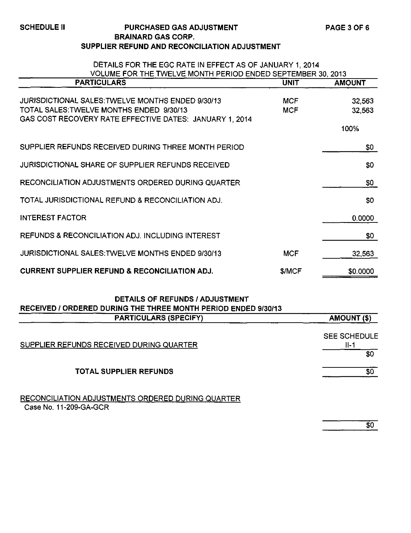## SCHEDULE II PURCHASED GAS ADJUSTMENT BRAINARD GAS CORP. SUPPLIER REFUND AND RECONCILIATION ADJUSTMENT

| DETAILS FOR THE EGC RATE IN EFFECT AS OF JANUARY 1, 2014<br>VOLUME FOR THE TWELVE MONTH PERIOD ENDED SEPTEMBER 30, 2013                                  |                          |                          |  |  |  |
|----------------------------------------------------------------------------------------------------------------------------------------------------------|--------------------------|--------------------------|--|--|--|
| <b>PARTICULARS</b>                                                                                                                                       | <b>UNIT</b>              | <b>AMOUNT</b>            |  |  |  |
| JURISDICTIONAL SALES: TWELVE MONTHS ENDED 9/30/13<br>TOTAL SALES: TWELVE MONTHS ENDED 9/30/13<br>GAS COST RECOVERY RATE EFFECTIVE DATES: JANUARY 1, 2014 | <b>MCF</b><br><b>MCF</b> | 32,563<br>32,563<br>100% |  |  |  |
| SUPPLIER REFUNDS RECEIVED DURING THREE MONTH PERIOD                                                                                                      |                          | \$0                      |  |  |  |
| JURISDICTIONAL SHARE OF SUPPLIER REFUNDS RECEIVED                                                                                                        |                          | \$0                      |  |  |  |
| RECONCILIATION ADJUSTMENTS ORDERED DURING QUARTER                                                                                                        |                          | \$0                      |  |  |  |
| TOTAL JURISDICTIONAL REFUND & RECONCILIATION ADJ.                                                                                                        |                          | \$0                      |  |  |  |
| <b>INTEREST FACTOR</b>                                                                                                                                   |                          | 0.0000                   |  |  |  |
| REFUNDS & RECONCILIATION ADJ. INCLUDING INTEREST                                                                                                         |                          | \$0                      |  |  |  |
| JURISDICTIONAL SALES: TWELVE MONTHS ENDED 9/30/13                                                                                                        | <b>MCF</b>               | 32,563                   |  |  |  |
| <b>CURRENT SUPPLIER REFUND &amp; RECONCILIATION ADJ.</b>                                                                                                 | \$/MCF                   | \$0.0000                 |  |  |  |

# DETAILS OF REFUNDS /ADJUSTMENT RECEIVED / ORDERED DURING THE THREE MONTH PERIOD ENDED 9/30/13

| <b>PARTICULARS (SPECIFY)</b>                                                | AMOUNT (\$)                          |
|-----------------------------------------------------------------------------|--------------------------------------|
| SUPPLIER REFUNDS RECEIVED DURING QUARTER                                    | <b>SEE SCHEDULE</b><br>$II-1$<br>\$0 |
| TOTAL SUPPLIER REFUNDS                                                      | \$0                                  |
| RECONCILIATION ADJUSTMENTS ORDERED DURING QUARTER<br>Case No. 11-209-GA-GCR |                                      |

 $\overline{\$0}$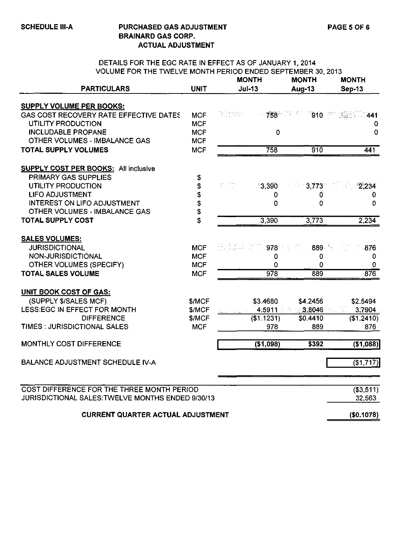# SCHEDULE III-A PURCHASED GAS ADJUSTMENT BRAINARD GAS CORP. ACTUAL ADJUSTMENT

### DETAILS FOR THE EGC RATE IN EFFECT AS OF JANUARY 1, 2014 VOLUME FOR THE TWELVE MONTH PERIOD ENDED SEPTEMBER 30, 2013

| <b>PARTICULARS</b>                                | <b>UNIT</b>  | <b>MONTH</b><br>$Jul-13$ |            | <b>MONTH</b><br><b>Aug-13</b> | <b>MONTH</b><br><b>Sep-13</b> |
|---------------------------------------------------|--------------|--------------------------|------------|-------------------------------|-------------------------------|
|                                                   |              |                          |            |                               |                               |
| <b>SUPPLY VOLUME PER BOOKS:</b>                   |              |                          |            |                               |                               |
| GAS COST RECOVERY RATE EFFECTIVE DATES            | <b>MCF</b>   | 휴일 제작 한국                 |            | 758 - 23 42 310 - 322         | 441                           |
| UTILITY PRODUCTION                                | <b>MCF</b>   |                          |            |                               | 0                             |
| <b>INCLUDABLE PROPANE</b>                         | <b>MCF</b>   |                          | 0          |                               | 0                             |
| OTHER VOLUMES - IMBALANCE GAS                     | <b>MCF</b>   |                          |            |                               |                               |
| <b>TOTAL SUPPLY VOLUMES</b>                       | <b>MCF</b>   |                          | 758        | 910                           | 441                           |
| <b>SUPPLY COST PER BOOKS: All inclusive</b>       |              |                          |            |                               |                               |
| PRIMARY GAS SUPPLIES                              | \$           |                          |            |                               |                               |
| <b>UTILITY PRODUCTION</b>                         | \$           |                          | $-3,390$   | 3,773                         | 2.234                         |
| <b>LIFO ADJUSTMENT</b>                            | \$           |                          | 0          | 0                             | 0                             |
| INTEREST ON LIFO ADJUSTMENT                       | \$           |                          | 0          | 0                             | 0                             |
| OTHER VOLUMES - IMBALANCE GAS                     | \$           |                          |            |                               |                               |
| <b>TOTAL SUPPLY COST</b>                          | \$           |                          | 3,390      | 3,773                         | 2,234                         |
| <b>SALES VOLUMES:</b>                             |              |                          |            |                               |                               |
| <b>JURISDICTIONAL</b>                             | <b>MCF</b>   |                          | 978        | 889.                          | $-876$                        |
| NON-JURISDICTIONAL                                | <b>MCF</b>   |                          | 0          | 0                             | 0                             |
| <b>OTHER VOLUMES (SPECIFY)</b>                    | <b>MCF</b>   |                          | 0          | 0                             | 0                             |
| <b>TOTAL SALES VOLUME</b>                         | <b>MCF</b>   |                          | 978        | 889                           | 876                           |
| <b>UNIT BOOK COST OF GAS:</b>                     |              |                          |            |                               |                               |
| (SUPPLY \$/SALES MCF)                             | \$/MCF       |                          | \$3.4680   | \$4.2456                      | \$2.5494                      |
| LESS:EGC IN EFFECT FOR MONTH                      | <b>S/MCF</b> |                          | 4,5911     | 3.8046                        | 3.7904                        |
| <b>DIFFERENCE</b>                                 | <b>S/MCF</b> |                          | (\$1.1231) | \$0.4410                      | (\$1.2410)                    |
| TIMES : JURISDICTIONAL SALES                      | <b>MCF</b>   |                          | 978        | 889                           | 876                           |
| MONTHLY COST DIFFERENCE                           |              |                          | (\$1,098)  | \$392                         | ( \$1,088)                    |
| <b>BALANCE ADJUSTMENT SCHEDULE IV-A</b>           |              |                          |            |                               | $($ \$1,717) $ $              |
|                                                   |              |                          |            |                               |                               |
| COST DIFFERENCE FOR THE THREE MONTH PERIOD        |              |                          |            |                               | ( \$3, 511)                   |
| JURISDICTIONAL SALES: TWELVE MONTHS ENDED 9/30/13 |              |                          |            |                               | 32,563                        |
| <b>CURRENT QUARTER ACTUAL ADJUSTMENT</b>          |              |                          |            |                               | (\$0.1078)                    |